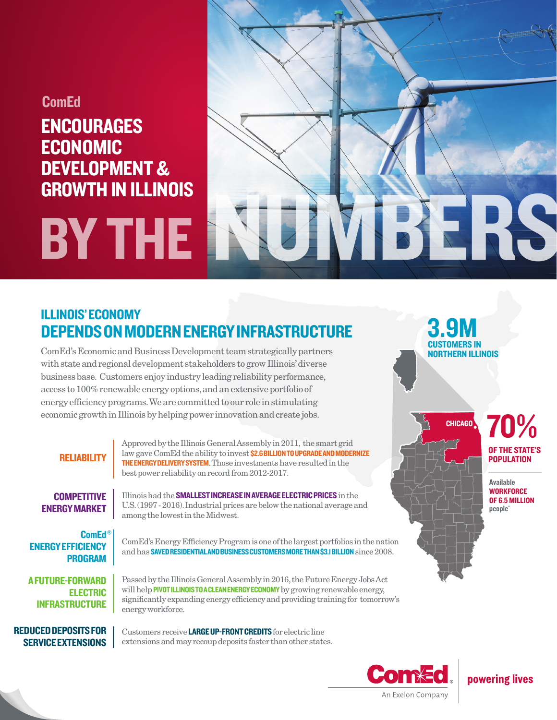## **ComEd**

# ENCOURAGES ECONOMIC DEVELOPMENT & GROWTH IN ILLINOIS



# ILLINOIS' ECONOMY DEPENDS ON MODERN ENERGY INFRASTRUCTURE

ComEd's Economic and Business Development team strategically partners with state and regional development stakeholders to grow Illinois' diverse business base. Customers enjoy industry leading reliability performance, access to 100% renewable energy options, and an extensive portfolio of energy efficiency programs. We are committed to our role in stimulating economic growth in Illinois by helping power innovation and create jobs.

### **RELIABILITY**

Approved by the Illinois General Assembly in 2011, the smart grid law gave ComEd the ability to invest \$2.6 BILLION TO UPGRADE AND MODERNIZE THE ENERGY DELIVERY SYSTEM. Those investments have resulted in the best power reliability on record from 2012-2017.

**COMPETITIVE** ENERGY MARKET

ComEd ® ENERGY EFFICIENCY PROGRAM

A FUTURE-FORWARD ELECTRIC INFRASTRUCTURE

 REDUCED DEPOSITS FOR SERVICE EXTENSIONS

Illinois had the SMALLEST INCREASE IN AVERAGE ELECTRIC PRICES in the U.S. (1997 - 2016). Industrial prices are below the national average and among the lowest in the Midwest.

ComEd's Energy Efficiency Program is one of the largest portfolios in the nation and has SAVED RESIDENTIAL AND BUSINESS CUSTOMERS MORE THAN \$3.1 BILLION since 2008.

Passed by the Illinois General Assembly in 2016, the Future Energy Jobs Act will help **PIVOT ILLINOIS TO A CLEAN ENERGY ECONOMY** by growing renewable energy, significantly expanding energy efficiency and providing training for tomorrow's energy workforce.

Customers receive **LARGE UP-FRONT CREDITS** for electric line extensions and may recoup deposits faster than other states.



powering lives

70%

**CHICAGO** 

3.9

CUSTOMERS IN NORTHERN ILLINOIS

> **OF THE STAT POPULATION**

Available **WORKFORCE** OF 6.5 MILLION people\*